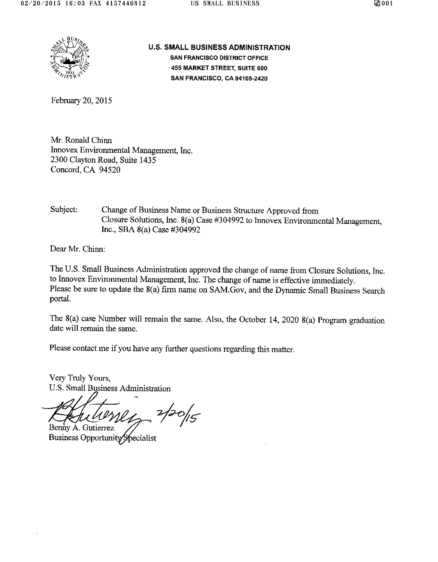

**U.S. SMALL BUSINESS ADMINISTRATION SAN FRANCISCO DISTRICT OFFICE 455 MARKET STREET, SUITE 600 SAN FRANCISCO, CA 94105-2420** 

February 20, 2015

Mr. Ronald Chinn Innovex Environmental Management, Inc. 2300 Clayton Road, Suite 1435 Concord, CA 94520

Subject: Change of Business Name or Business Structure Approved from Closure Solutions, Inc. 8(a) Case #304992 to Innovex Environmental Management. Inc., SBA  $8(a)$  Case #304992

Dear Mr. Chinn:

The U.S. Small Business Administration approved the change of name from Closure Solutions, Inc. to Innovex Environmental Management, Inc. The change of name is effective immediately. Please be sure to update the 8(a) firm name on SAM.Gov, and the Dynamic Small Business Search portal.

The  $8(a)$  case Number will remain the same. Also, the October 14, 2020  $8(a)$  Program graduation date will remain the same.

Please contact me if you have any further questions regarding this matter.

Very Truly Yours, U.S. Small Business Administration

Benny A. Gutierrez

Business Opportunity Specialist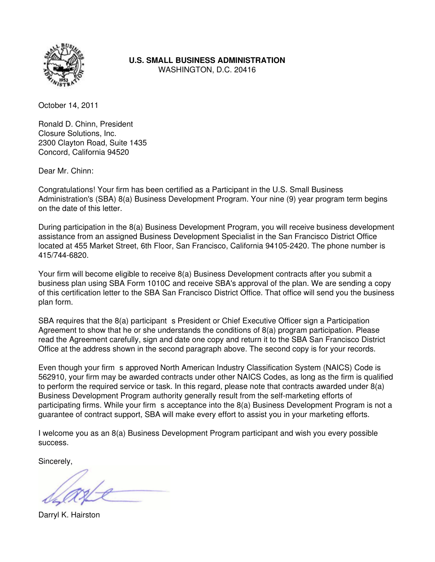

**U.S. SMALL BUSINESS ADMINISTRATION**

WASHINGTON, D.C. 20416

October 14, 2011

Ronald D. Chinn, President Closure Solutions, Inc. 2300 Clayton Road, Suite 1435 Concord, California 94520

Dear Mr. Chinn:

Congratulations! Your firm has been certified as a Participant in the U.S. Small Business Administration's (SBA) 8(a) Business Development Program. Your nine (9) year program term begins on the date of this letter.

During participation in the 8(a) Business Development Program, you will receive business development assistance from an assigned Business Development Specialist in the San Francisco District Office located at 455 Market Street, 6th Floor, San Francisco, California 94105-2420. The phone number is 415/744-6820.

Your firm will become eligible to receive 8(a) Business Development contracts after you submit a business plan using SBA Form 1010C and receive SBA's approval of the plan. We are sending a copy of this certification letter to the SBA San Francisco District Office. That office will send you the business plan form.

SBA requires that the 8(a) participant s President or Chief Executive Officer sign a Participation Agreement to show that he or she understands the conditions of 8(a) program participation. Please read the Agreement carefully, sign and date one copy and return it to the SBA San Francisco District Office at the address shown in the second paragraph above. The second copy is for your records.

Even though your firm s approved North American Industry Classification System (NAICS) Code is 562910, your firm may be awarded contracts under other NAICS Codes, as long as the firm is qualified to perform the required service or task. In this regard, please note that contracts awarded under 8(a) Business Development Program authority generally result from the self-marketing efforts of participating firms. While your firm s acceptance into the 8(a) Business Development Program is not a guarantee of contract support, SBA will make every effort to assist you in your marketing efforts.

I welcome you as an 8(a) Business Development Program participant and wish you every possible success.

Sincerely,

Darryl K. Hairston